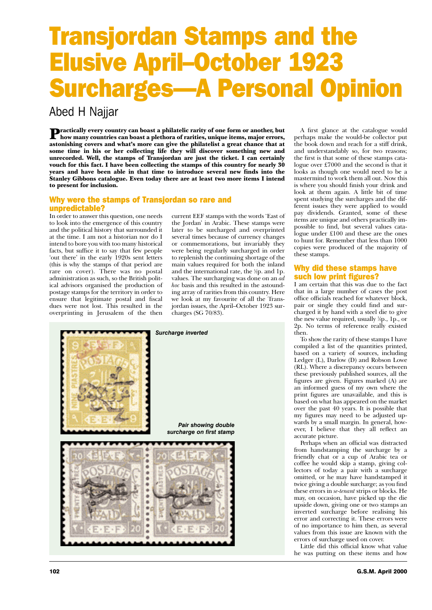# Transjordan Stamps and the Elusive April–October 1923 Surcharges—A Personal Opinion

Abed H Najjar

**Practically every country can boast a philatelic rarity of one form or another, but** how many countries can boast a plethora of rarities, unique items, major errors, astonishing covers and what's more can give the philatelist a great chance that at some time in his or her collecting life they will discover something new and unrecorded. Well, the stamps of Transjordan are just the ticket. I can certainly vouch for this fact. I have been collecting the stamps of this country for nearly 30 years and have been able in that time to introduce several new finds into the Stanley Gibbons catalogue. Even today there are at least two more items I intend to present for inclusion.

### Why were the stamps of Transjordan so rare and unpredictable?

In order to answer this question, one needs to look into the emergence of this country and the political history that surrounded it at the time. I am not a historian nor do I intend to bore you with too many historical facts, but suffice it to say that few people 'out there' in the early 1920s sent letters (this is why the stamps of that period are rare on cover). There was no postal administration as such, so the British political advisors organised the production of postage stamps for the territory in order to ensure that legitimate postal and fiscal dues were not lost. This resulted in the overprinting in Jerusalem of the then

current EEF stamps with the words 'East of the Jordan' in Arabic. These stamps were later to be surcharged and overprinted several times because of currency changes or commemorations, but invariably they were being regularly surcharged in order to replenish the continuing shortage of the main values required for both the inland and the international rate, the ½p. and 1p. values. The surcharging was done on an *ad hoc* basis and this resulted in the astounding array of rarities from this country. Here we look at my favourite of all the Transjordan issues, the April–October 1923 surcharges (SG 70/83).



A first glance at the catalogue would perhaps make the would-be collector put the book down and reach for a stiff drink, and understandably so, for two reasons; the first is that some of these stamps catalogue over £7000 and the second is that it looks as though one would need to be a mastermind to work them all out. Now this is where you should finish your drink and look at them again. A little bit of time spent studying the surcharges and the different issues they were applied to would pay dividends. Granted, some of these items are unique and others practically impossible to find, but several values catalogue under £100 and these are the ones to hunt for. Remember that less than 1000 copies were produced of the majority of these stamps.

## Why did these stamps have such low print figures?

I am certain that this was due to the fact that in a large number of cases the post office officials reached for whatever block, pair or single they could find and surcharged it by hand with a steel die to give the new value required, usually 1 ⁄2p., 1p., or 2p. No terms of reference really existed then.

To show the rarity of these stamps I have compiled a list of the quantities printed, based on a variety of sources, including Ledger (L), Darlow (D) and Robson Lowe (RL). Where a discrepancy occurs between these previously published sources, all the figures are given. Figures marked (A) are an informed guess of my own where the print figures are unavailable, and this is based on what has appeared on the market over the past 40 years. It is possible that my figures may need to be adjusted upwards by a small margin. In general, however, I believe that they all reflect an accurate picture.

Perhaps when an official was distracted from handstamping the surcharge by a friendly chat or a cup of Arabic tea or coffee he would skip a stamp, giving collectors of today a pair with a surcharge omitted, or he may have handstamped it twice giving a double surcharge; as you find these errors in *se-tenant* strips or blocks. He may, on occasion, have picked up the die upside down, giving one or two stamps an inverted surcharge before realising his error and correcting it. These errors were of no importance to him then, as several values from this issue are known with the errors of surcharge used on cover.

Little did this official know what value he was putting on these items and how